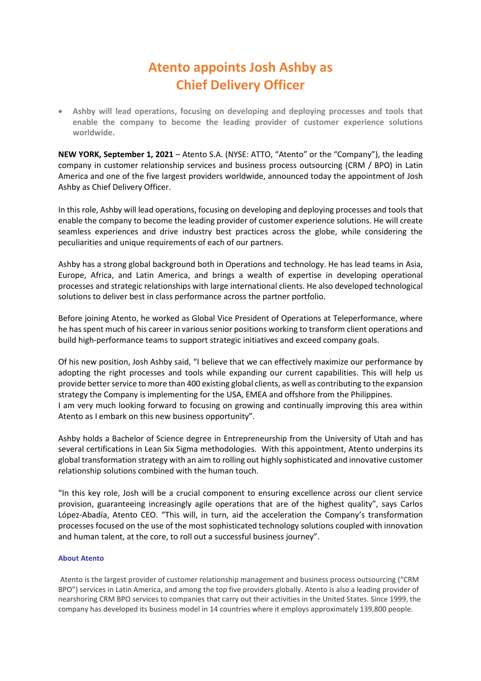## **Atento appoints Josh Ashby as Chief Delivery Officer**

• **Ashby will lead operations, focusing on developing and deploying processes and tools that enable the company to become the leading provider of customer experience solutions worldwide.**

**NEW YORK, September 1, 2021** – Atento S.A. (NYSE: ATTO, "Atento" or the "Company"), the leading company in customer relationship services and business process outsourcing (CRM / BPO) in Latin America and one of the five largest providers worldwide, announced today the appointment of Josh Ashby as Chief Delivery Officer.

In this role, Ashby will lead operations, focusing on developing and deploying processes and tools that enable the company to become the leading provider of customer experience solutions. He will create seamless experiences and drive industry best practices across the globe, while considering the peculiarities and unique requirements of each of our partners.

Ashby has a strong global background both in Operations and technology. He has lead teams in Asia, Europe, Africa, and Latin America, and brings a wealth of expertise in developing operational processes and strategic relationships with large international clients. He also developed technological solutions to deliver best in class performance across the partner portfolio.

Before joining Atento, he worked as Global Vice President of Operations at Teleperformance, where he has spent much of his career in various senior positions working to transform client operations and build high-performance teams to support strategic initiatives and exceed company goals.

Of his new position, Josh Ashby said, "I believe that we can effectively maximize our performance by adopting the right processes and tools while expanding our current capabilities. This will help us provide better service to more than 400 existing global clients, as well as contributing to the expansion strategy the Company is implementing for the USA, EMEA and offshore from the Philippines. I am very much looking forward to focusing on growing and continually improving this area within Atento as I embark on this new business opportunity".

Ashby holds a Bachelor of Science degree in Entrepreneurship from the University of Utah and has several certifications in Lean Six Sigma methodologies. With this appointment, Atento underpins its global transformation strategy with an aim to rolling out highly sophisticated and innovative customer relationship solutions combined with the human touch.

"In this key role, Josh will be a crucial component to ensuring excellence across our client service provision, guaranteeing increasingly agile operations that are of the highest quality", says Carlos López-Abadía, Atento CEO. "This will, in turn, aid the acceleration the Company's transformation processes focused on the use of the most sophisticated technology solutions coupled with innovation and human talent, at the core, to roll out a successful business journey".

## **About Atento**

Atento is the largest provider of customer relationship management and business process outsourcing ("CRM BPO") services in Latin America, and among the top five providers globally. Atento is also a leading provider of nearshoring CRM BPO services to companies that carry out their activities in the United States. Since 1999, the company has developed its business model in 14 countries where it employs approximately 139,800 people.